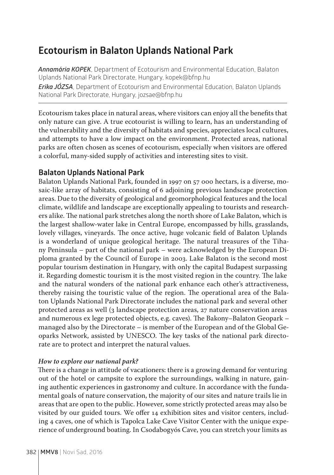## **Ecotourism in Balaton Uplands National Park**

*Annamária KOPEK*, Department of Ecotourism and Environmental Education, Balaton Uplands National Park Directorate, Hungary, kopek@bfnp.hu *Erika JÓZSA*, Department of Ecotourism and Environmental Education, Balaton Uplands National Park Directorate, Hungary, jozsae@bfnp.hu

Ecotourism takes place in natural areas, where visitors can enjoy all the benefits that only nature can give. A true ecotourist is willing to learn, has an understanding of the vulnerability and the diversity of habitats and species, appreciates local cultures, and attempts to have a low impact on the environment. Protected areas, national parks are often chosen as scenes of ecotourism, especially when visitors are offered a colorful, many-sided supply of activities and interesting sites to visit.

## **Balaton Uplands National Park**

Balaton Uplands National Park, founded in 1997 on 57 000 hectars, is a diverse, mosaic-like array of habitats, consisting of 6 adjoining previous landscape protection areas. Due to the diversity of geological and geomorphological features and the local climate, wildlife and landscape are exceptionally appealing to tourists and researchers alike. The national park stretches along the north shore of Lake Balaton, which is the largest shallow-water lake in Central Europe, encompassed by hills, grasslands, lovely villages, vineyards. The once active, huge volcanic field of Balaton Uplands is a wonderland of unique geological heritage. The natural treasures of the Tihany Peninsula – part of the national park – were acknowledged by the European Diploma granted by the Council of Europe in 2003. Lake Balaton is the second most popular tourism destination in Hungary, with only the capital Budapest surpassing it. Regarding domestic tourism it is the most visited region in the country. The lake and the natural wonders of the national park enhance each other's attractiveness, thereby raising the touristic value of the region. The operational area of the Balaton Uplands National Park Directorate includes the national park and several other protected areas as well (3 landscape protection areas, 27 nature conservation areas and numerous ex lege protected objects, e.g. caves). The Bakony–Balaton Geopark – managed also by the Directorate – is member of the European and of the Global Geoparks Network, assisted by UNESCO. The key tasks of the national park directorate are to protect and interpret the natural values.

## *How to explore our national park?*

There is a change in attitude of vacationers: there is a growing demand for venturing out of the hotel or campsite to explore the surroundings, walking in nature, gaining authentic experiences in gastronomy and culture. In accordance with the fundamental goals of nature conservation, the majority of our sites and nature trails lie in areas that are open to the public. However, some strictly protected areas may also be visited by our guided tours. We offer 14 exhibition sites and visitor centers, including 4 caves, one of which is Tapolca Lake Cave Visitor Center with the unique experience of underground boating. In Csodabogyós Cave, you can stretch your limits as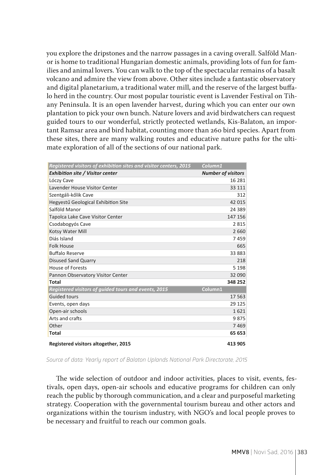you explore the dripstones and the narrow passages in a caving overall. Salföld Manor is home to traditional Hungarian domestic animals, providing lots of fun for families and animal lovers. You can walk to the top of the spectacular remains of a basalt volcano and admire the view from above. Other sites include a fantastic observatory and digital planetarium, a traditional water mill, and the reserve of the largest buffalo herd in the country. Our most popular touristic event is Lavender Festival on Tihany Peninsula. It is an open lavender harvest, during which you can enter our own plantation to pick your own bunch. Nature lovers and avid birdwatchers can request guided tours to our wonderful, strictly protected wetlands, Kis-Balaton, an important Ramsar area and bird habitat, counting more than 260 bird species. Apart from these sites, there are many walking routes and educative nature paths for the ultimate exploration of all of the sections of our national park.

| Registered visitors of exhibition sites and visitor centers, 2015 | Column1                   |
|-------------------------------------------------------------------|---------------------------|
| <b>Exhibition site / Visitor center</b>                           | <b>Number of visitors</b> |
| Lóczy Cave                                                        | 16 28 1                   |
| Lavender House Visitor Center                                     | 33 111                    |
| Szentgáli-kőlik Cave                                              | 312                       |
| Hegyestű Geological Exhibition Site                               | 42 015                    |
| Salföld Manor                                                     | 24 389                    |
| Tapolca Lake Cave Visitor Center                                  | 147 156                   |
| Csodabogyós Cave                                                  | 2815                      |
| Kotsy Water Mill                                                  | 2 6 6 0                   |
| Diás Island                                                       | 7459                      |
| <b>Folk House</b>                                                 | 665                       |
| <b>Buffalo Reserve</b>                                            | 33883                     |
| <b>Disused Sand Quarry</b>                                        | 218                       |
| House of Forests                                                  | 5 1 9 8                   |
| Pannon Observatory Visitor Center                                 | 32 090                    |
| Total                                                             | 348 252                   |
| Registered visitors of guided tours and events, 2015              | Column1                   |
| <b>Guided tours</b>                                               | 17 563                    |
| Events, open days                                                 | 29 1 25                   |
| Open-air schools                                                  | 1621                      |
| Arts and crafts                                                   | 9875                      |
| Other                                                             | 7469                      |
| Total                                                             | 65 653                    |
| Registered visitors altogether, 2015                              | 413 905                   |

*Source of data: Yearly report of Balaton Uplands National Park Directorate, 2015*

The wide selection of outdoor and indoor activities, places to visit, events, festivals, open days, open-air schools and educative programs for children can only reach the public by thorough communication, and a clear and purposeful marketing strategy. Cooperation with the governmental tourism bureau and other actors and organizations within the tourism industry, with NGO's and local people proves to be necessary and fruitful to reach our common goals.